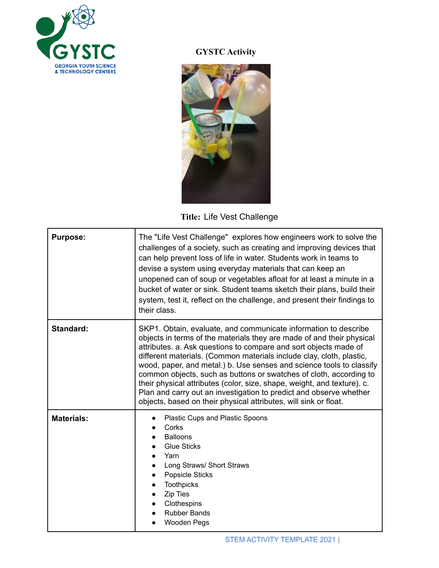

## **GYSTC Activity**



## **Title:** Life Vest Challenge

| <b>Purpose:</b>   | The "Life Vest Challenge" explores how engineers work to solve the<br>challenges of a society, such as creating and improving devices that<br>can help prevent loss of life in water. Students work in teams to<br>devise a system using everyday materials that can keep an<br>unopened can of soup or vegetables afloat for at least a minute in a<br>bucket of water or sink. Student teams sketch their plans, build their<br>system, test it, reflect on the challenge, and present their findings to<br>their class.                                                                                                                              |
|-------------------|---------------------------------------------------------------------------------------------------------------------------------------------------------------------------------------------------------------------------------------------------------------------------------------------------------------------------------------------------------------------------------------------------------------------------------------------------------------------------------------------------------------------------------------------------------------------------------------------------------------------------------------------------------|
| <b>Standard:</b>  | SKP1. Obtain, evaluate, and communicate information to describe<br>objects in terms of the materials they are made of and their physical<br>attributes. a. Ask questions to compare and sort objects made of<br>different materials. (Common materials include clay, cloth, plastic,<br>wood, paper, and metal.) b. Use senses and science tools to classify<br>common objects, such as buttons or swatches of cloth, according to<br>their physical attributes (color, size, shape, weight, and texture). c.<br>Plan and carry out an investigation to predict and observe whether<br>objects, based on their physical attributes, will sink or float. |
| <b>Materials:</b> | Plastic Cups and Plastic Spoons<br>Corks<br><b>Balloons</b><br><b>Glue Sticks</b><br>Yarn<br>Long Straws/ Short Straws<br><b>Popsicle Sticks</b><br><b>Toothpicks</b><br>Zip Ties<br>Clothespins<br><b>Rubber Bands</b><br>Wooden Pegs                                                                                                                                                                                                                                                                                                                                                                                                                  |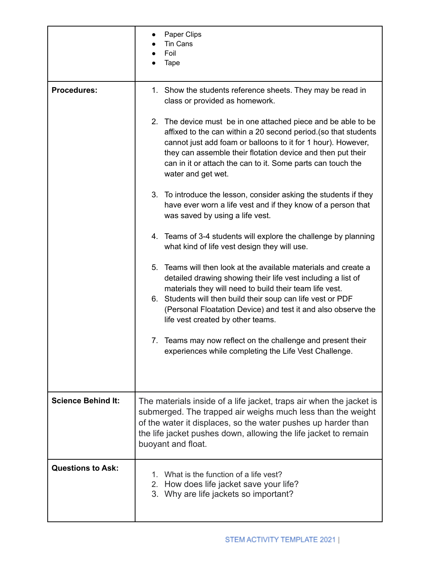|                           | Paper Clips<br>Tin Cans<br>Foil<br>Tape                                                                                                                                                                                                                                                                                                              |
|---------------------------|------------------------------------------------------------------------------------------------------------------------------------------------------------------------------------------------------------------------------------------------------------------------------------------------------------------------------------------------------|
| <b>Procedures:</b>        | 1. Show the students reference sheets. They may be read in<br>class or provided as homework.                                                                                                                                                                                                                                                         |
|                           | 2. The device must be in one attached piece and be able to be<br>affixed to the can within a 20 second period. (so that students<br>cannot just add foam or balloons to it for 1 hour). However,<br>they can assemble their flotation device and then put their<br>can in it or attach the can to it. Some parts can touch the<br>water and get wet. |
|                           | 3. To introduce the lesson, consider asking the students if they<br>have ever worn a life vest and if they know of a person that<br>was saved by using a life vest.                                                                                                                                                                                  |
|                           | 4. Teams of 3-4 students will explore the challenge by planning<br>what kind of life vest design they will use.                                                                                                                                                                                                                                      |
|                           | 5. Teams will then look at the available materials and create a<br>detailed drawing showing their life vest including a list of<br>materials they will need to build their team life vest.                                                                                                                                                           |
|                           | 6. Students will then build their soup can life vest or PDF<br>(Personal Floatation Device) and test it and also observe the<br>life vest created by other teams.                                                                                                                                                                                    |
|                           | 7. Teams may now reflect on the challenge and present their<br>experiences while completing the Life Vest Challenge.                                                                                                                                                                                                                                 |
|                           |                                                                                                                                                                                                                                                                                                                                                      |
| <b>Science Behind It:</b> | The materials inside of a life jacket, traps air when the jacket is<br>submerged. The trapped air weighs much less than the weight<br>of the water it displaces, so the water pushes up harder than<br>the life jacket pushes down, allowing the life jacket to remain<br>buoyant and float.                                                         |
| <b>Questions to Ask:</b>  | 1. What is the function of a life vest?<br>How does life jacket save your life?<br>$2_{\cdot}$<br>3. Why are life jackets so important?                                                                                                                                                                                                              |